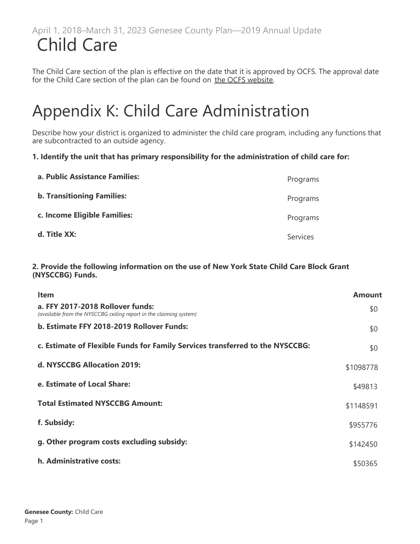The Child Care section of the plan is effective on the date that it is approved by OCFS. The approval date for the Child Care section of the plan can be found on [the OCFS website](https://ocfs.ny.gov/main/childcare/plans/plans.asp).

# Appendix K: Child Care Administration

Describe how your district is organized to administer the child care program, including any functions that are subcontracted to an outside agency.

### **1. Identify the unit that has primary responsibility for the administration of child care for:**

| a. Public Assistance Families:    | Programs        |
|-----------------------------------|-----------------|
| <b>b. Transitioning Families:</b> | Programs        |
| c. Income Eligible Families:      | Programs        |
| d. Title XX:                      | <b>Services</b> |

#### **2. Provide the following information on the use of New York State Child Care Block Grant (NYSCCBG) Funds.**

| <b>Item</b>                                                                                            | Amount    |
|--------------------------------------------------------------------------------------------------------|-----------|
| a. FFY 2017-2018 Rollover funds:<br>(available from the NYSCCBG ceiling report in the claiming system) | \$0       |
| b. Estimate FFY 2018-2019 Rollover Funds:                                                              | \$0       |
| c. Estimate of Flexible Funds for Family Services transferred to the NYSCCBG:                          | \$0       |
| d. NYSCCBG Allocation 2019:                                                                            | \$1098778 |
| e. Estimate of Local Share:                                                                            | \$49813   |
| <b>Total Estimated NYSCCBG Amount:</b>                                                                 | \$1148591 |
| f. Subsidy:                                                                                            | \$955776  |
| g. Other program costs excluding subsidy:                                                              | \$142450  |
| h. Administrative costs:                                                                               | \$50365   |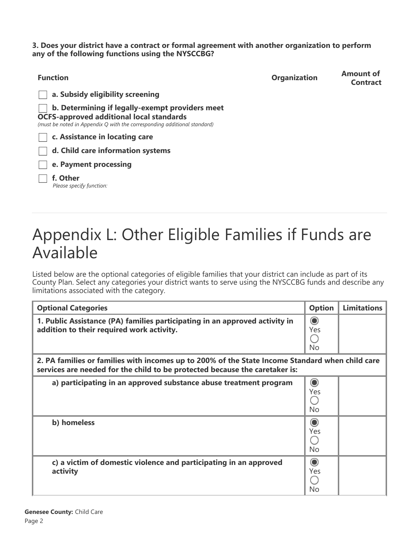**3. Does your district have a contract or formal agreement with another organization to perform any of the following functions using the NYSCCBG?**

| <b>Function</b>                                                                                                                                                                | <b>Organization</b> | <b>Amount of</b><br><b>Contract</b> |
|--------------------------------------------------------------------------------------------------------------------------------------------------------------------------------|---------------------|-------------------------------------|
| a. Subsidy eligibility screening                                                                                                                                               |                     |                                     |
| b. Determining if legally-exempt providers meet<br><b>OCFS-approved additional local standards</b><br>(must be noted in Appendix O with the corresponding additional standard) |                     |                                     |
| c. Assistance in locating care                                                                                                                                                 |                     |                                     |
| d. Child care information systems                                                                                                                                              |                     |                                     |
| e. Payment processing                                                                                                                                                          |                     |                                     |
| f. Other<br>Please specify function:                                                                                                                                           |                     |                                     |

# Appendix L: Other Eligible Families if Funds are Available

Listed below are the optional categories of eligible families that your district can include as part of its County Plan. Select any categories your district wants to serve using the NYSCCBG funds and describe any limitations associated with the category.

| <b>Optional Categories</b>                                                                                                                                                     | <b>Option</b>         | <b>Limitations</b> |
|--------------------------------------------------------------------------------------------------------------------------------------------------------------------------------|-----------------------|--------------------|
| 1. Public Assistance (PA) families participating in an approved activity in<br>addition to their required work activity.                                                       | $\odot$<br>Yes<br>No  |                    |
| 2. PA families or families with incomes up to 200% of the State Income Standard when child care<br>services are needed for the child to be protected because the caretaker is: |                       |                    |
| a) participating in an approved substance abuse treatment program                                                                                                              | $\odot$<br>Yes<br>No. |                    |
| b) homeless                                                                                                                                                                    | $\odot$<br>Yes<br>No. |                    |
| c) a victim of domestic violence and participating in an approved<br>activity                                                                                                  | $\odot$<br>Yes<br>No  |                    |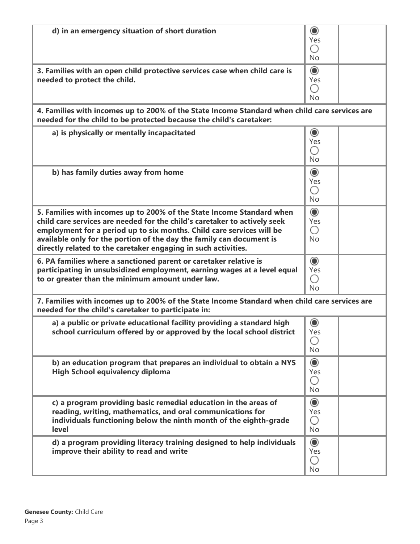| d) in an emergency situation of short duration                                                                                                                                                                                                                                                                                                                        | $\odot$<br>Yes<br>∩<br><b>No</b>      |  |
|-----------------------------------------------------------------------------------------------------------------------------------------------------------------------------------------------------------------------------------------------------------------------------------------------------------------------------------------------------------------------|---------------------------------------|--|
| 3. Families with an open child protective services case when child care is<br>needed to protect the child.                                                                                                                                                                                                                                                            | $\odot$<br>Yes<br>∩<br>No             |  |
| 4. Families with incomes up to 200% of the State Income Standard when child care services are<br>needed for the child to be protected because the child's caretaker:                                                                                                                                                                                                  |                                       |  |
| a) is physically or mentally incapacitated                                                                                                                                                                                                                                                                                                                            | $\odot$<br>Yes<br>∩<br>No             |  |
| b) has family duties away from home                                                                                                                                                                                                                                                                                                                                   | $\odot$<br>Yes<br>∩<br>No             |  |
| 5. Families with incomes up to 200% of the State Income Standard when<br>child care services are needed for the child's caretaker to actively seek<br>employment for a period up to six months. Child care services will be<br>available only for the portion of the day the family can document is<br>directly related to the caretaker engaging in such activities. | $\odot$<br>Yes<br>∩<br><b>No</b>      |  |
| 6. PA families where a sanctioned parent or caretaker relative is<br>participating in unsubsidized employment, earning wages at a level equal<br>to or greater than the minimum amount under law.                                                                                                                                                                     | $\odot$<br>Yes<br>∩<br><b>No</b>      |  |
| 7. Families with incomes up to 200% of the State Income Standard when child care services are<br>needed for the child's caretaker to participate in:                                                                                                                                                                                                                  |                                       |  |
| a) a public or private educational facility providing a standard high<br>school curriculum offered by or approved by the local school district                                                                                                                                                                                                                        | $\circledcirc$<br>Yes<br>$(\ )$<br>No |  |
| b) an education program that prepares an individual to obtain a NYS<br><b>High School equivalency diploma</b>                                                                                                                                                                                                                                                         | $\odot$<br>Yes<br>O<br>No             |  |
| c) a program providing basic remedial education in the areas of<br>reading, writing, mathematics, and oral communications for<br>individuals functioning below the ninth month of the eighth-grade<br>level                                                                                                                                                           | $\odot$<br>Yes<br>∩<br><b>No</b>      |  |
| d) a program providing literacy training designed to help individuals<br>improve their ability to read and write                                                                                                                                                                                                                                                      | $\odot$<br>Yes<br>○<br><b>No</b>      |  |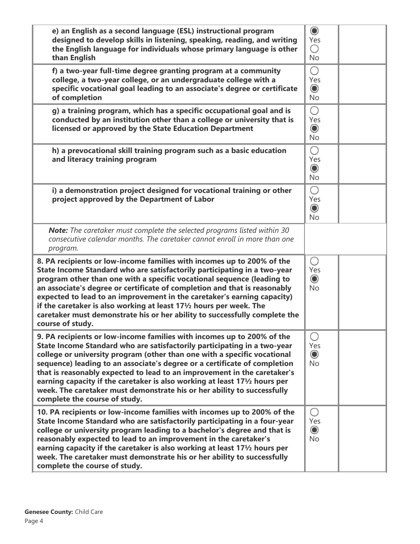| e) an English as a second language (ESL) instructional program<br>designed to develop skills in listening, speaking, reading, and writing<br>the English language for individuals whose primary language is other<br>than English                                                                                                                                                                                                                                                                                                                                                              | $\circledcirc$<br>Yes<br>0<br><b>No</b>          |  |
|------------------------------------------------------------------------------------------------------------------------------------------------------------------------------------------------------------------------------------------------------------------------------------------------------------------------------------------------------------------------------------------------------------------------------------------------------------------------------------------------------------------------------------------------------------------------------------------------|--------------------------------------------------|--|
| f) a two-year full-time degree granting program at a community<br>college, a two-year college, or an undergraduate college with a<br>specific vocational goal leading to an associate's degree or certificate<br>of completion                                                                                                                                                                                                                                                                                                                                                                 | $\bigcirc$<br>Yes<br>$\circledcirc$<br><b>No</b> |  |
| g) a training program, which has a specific occupational goal and is<br>conducted by an institution other than a college or university that is<br>licensed or approved by the State Education Department                                                                                                                                                                                                                                                                                                                                                                                       | ∩<br>Yes<br>$\circledcirc$<br><b>No</b>          |  |
| h) a prevocational skill training program such as a basic education<br>and literacy training program                                                                                                                                                                                                                                                                                                                                                                                                                                                                                           | O<br>Yes<br>$\odot$<br><b>No</b>                 |  |
| i) a demonstration project designed for vocational training or other<br>project approved by the Department of Labor                                                                                                                                                                                                                                                                                                                                                                                                                                                                            | $\bigcirc$<br>Yes<br>$\odot$<br><b>No</b>        |  |
| <b>Note:</b> The caretaker must complete the selected programs listed within 30<br>consecutive calendar months. The caretaker cannot enroll in more than one<br>program.                                                                                                                                                                                                                                                                                                                                                                                                                       |                                                  |  |
| 8. PA recipients or low-income families with incomes up to 200% of the<br>State Income Standard who are satisfactorily participating in a two-year<br>program other than one with a specific vocational sequence (leading to<br>an associate's degree or certificate of completion and that is reasonably<br>expected to lead to an improvement in the caretaker's earning capacity)<br>if the caretaker is also working at least 17½ hours per week. The<br>caretaker must demonstrate his or her ability to successfully complete the<br>course of study.                                    | ∩<br>Yes<br>$\odot$<br><b>No</b>                 |  |
| 9. PA recipients or low-income families with incomes up to 200% of the<br>State Income Standard who are satisfactorily participating in a two-year<br>college or university program (other than one with a specific vocational<br>sequence) leading to an associate's degree or a certificate of completion<br>that is reasonably expected to lead to an improvement in the caretaker's<br>earning capacity if the caretaker is also working at least 17 <sup>1</sup> /2 hours per<br>week. The caretaker must demonstrate his or her ability to successfully<br>complete the course of study. | ○<br>Yes<br>$\circledcirc$<br><b>No</b>          |  |
| 10. PA recipients or low-income families with incomes up to 200% of the<br>State Income Standard who are satisfactorily participating in a four-year<br>college or university program leading to a bachelor's degree and that is<br>reasonably expected to lead to an improvement in the caretaker's<br>earning capacity if the caretaker is also working at least 171/2 hours per<br>week. The caretaker must demonstrate his or her ability to successfully<br>complete the course of study.                                                                                                 | O<br>Yes<br>$\circledcirc$<br><b>No</b>          |  |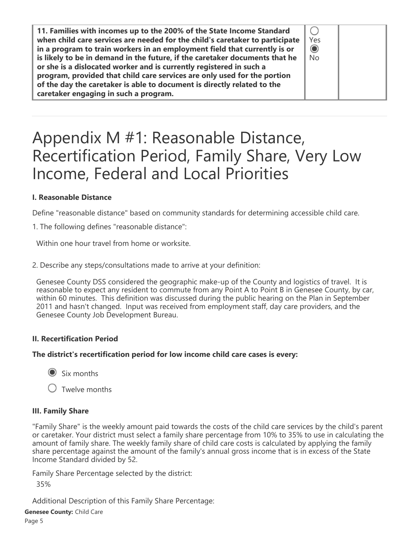| when child care services are needed for the child's caretaker to participate<br>Yes<br>$\odot$<br>in a program to train workers in an employment field that currently is or<br>is likely to be in demand in the future, if the caretaker documents that he<br>No<br>or she is a dislocated worker and is currently registered in such a<br>program, provided that child care services are only used for the portion<br>of the day the caretaker is able to document is directly related to the<br>caretaker engaging in such a program. |
|-----------------------------------------------------------------------------------------------------------------------------------------------------------------------------------------------------------------------------------------------------------------------------------------------------------------------------------------------------------------------------------------------------------------------------------------------------------------------------------------------------------------------------------------|
|-----------------------------------------------------------------------------------------------------------------------------------------------------------------------------------------------------------------------------------------------------------------------------------------------------------------------------------------------------------------------------------------------------------------------------------------------------------------------------------------------------------------------------------------|

# Appendix M #1: Reasonable Distance, Recertification Period, Family Share, Very Low Income, Federal and Local Priorities

# **I. Reasonable Distance**

Define "reasonable distance" based on community standards for determining accessible child care.

1. The following defines "reasonable distance":

Within one hour travel from home or worksite.

2. Describe any steps/consultations made to arrive at your definition:

Genesee County DSS considered the geographic make-up of the County and logistics of travel. It is reasonable to expect any resident to commute from any Point A to Point B in Genesee County, by car, within 60 minutes. This definition was discussed during the public hearing on the Plan in September 2011 and hasn't changed. Input was received from employment staff, day care providers, and the Genesee County Job Development Bureau.

# **II. Recertification Period**

#### **The district's recertification period for low income child care cases is every:**

 $\odot$  Six months

 $\bigcirc$  Twelve months

# **III. Family Share**

"Family Share" is the weekly amount paid towards the costs of the child care services by the child's parent or caretaker. Your district must select a family share percentage from 10% to 35% to use in calculating the amount of family share. The weekly family share of child care costs is calculated by applying the family share percentage against the amount of the family's annual gross income that is in excess of the State Income Standard divided by 52.

Family Share Percentage selected by the district: 35%

Additional Description of this Family Share Percentage:

**Genesee County:** Child Care

Page 5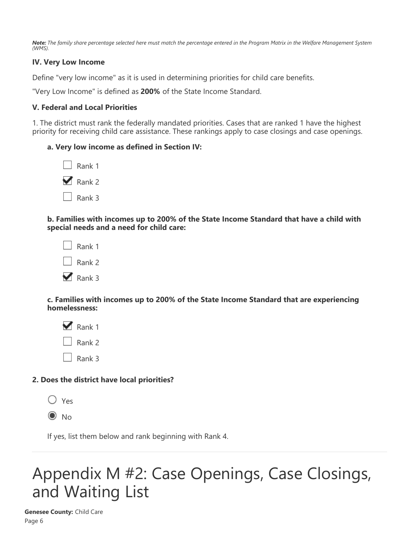*Note: The family share percentage selected here must match the percentage entered in the Program Matrix in the Welfare Management System (WMS).*

### **IV. Very Low Income**

Define "very low income" as it is used in determining priorities for child care benefits.

"Very Low Income" is defined as **200%** of the State Income Standard.

#### **V. Federal and Local Priorities**

1. The district must rank the federally mandated priorities. Cases that are ranked 1 have the highest priority for receiving child care assistance. These rankings apply to case closings and case openings.

#### **a. Very low income as defined in Section IV:**

| Rank 1 |
|--------|
| Rank 2 |
| Rank 3 |

**b. Families with incomes up to 200% of the State Income Standard that have a child with special needs and a need for child care:**

| Rank 1 |
|--------|
| Rank 2 |
| Rank 3 |

**c. Families with incomes up to 200% of the State Income Standard that are experiencing homelessness:**

 $\triangledown$  Rank 1  $\Box$  Rank 2 Rank 3

#### **2. Does the district have local priorities?**

| ×<br>۰.<br>× |
|--------------|
|              |

 $\odot$  No

If yes, list them below and rank beginning with Rank 4.

# Appendix M #2: Case Openings, Case Closings, and Waiting List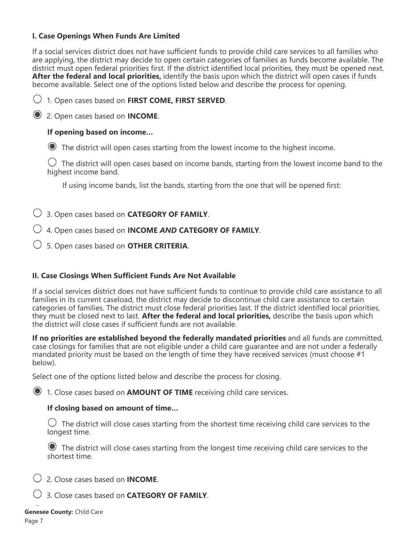### **I. Case Openings When Funds Are Limited**

If a social services district does not have sufficient funds to provide child care services to all families who are applying, the district may decide to open certain categories of families as funds become available. The district must open federal priorities first. If the district identified local priorities, they must be opened next. **After the federal and local priorities,** identify the basis upon which the district will open cases if funds become available. Select one of the options listed below and describe the process for opening.



2. Open cases based on **INCOME**.

# **If opening based on income…**

The district will open cases starting from the lowest income to the highest income.

 $\bigcirc$  The district will open cases based on income bands, starting from the lowest income band to the highest income band.

If using income bands, list the bands, starting from the one that will be opened first:

- 3. Open cases based on **CATEGORY OF FAMILY**.
- 4. Open cases based on **INCOME** *AND* **CATEGORY OF FAMILY**.
- 5. Open cases based on **OTHER CRITERIA**.

#### **II. Case Closings When Sufficient Funds Are Not Available**

If a social services district does not have sufficient funds to continue to provide child care assistance to all families in its current caseload, the district may decide to discontinue child care assistance to certain categories of families. The district must close federal priorities last. If the district identified local priorities, they must be closed next to last. **After the federal and local priorities,** describe the basis upon which the district will close cases if sufficient funds are not available.

**If no priorities are established beyond the federally mandated priorities** and all funds are committed, case closings for families that are not eligible under a child care guarantee and are not under a federally mandated priority must be based on the length of time they have received services (must choose #1 below).

Select one of the options listed below and describe the process for closing.

1. Close cases based on **AMOUNT OF TIME** receiving child care services.

#### **If closing based on amount of time…**

 $\bigcirc$  The district will close cases starting from the shortest time receiving child care services to the longest time.

 The district will close cases starting from the longest time receiving child care services to the shortest time.

2. Close cases based on **INCOME**.

3. Close cases based on **CATEGORY OF FAMILY**.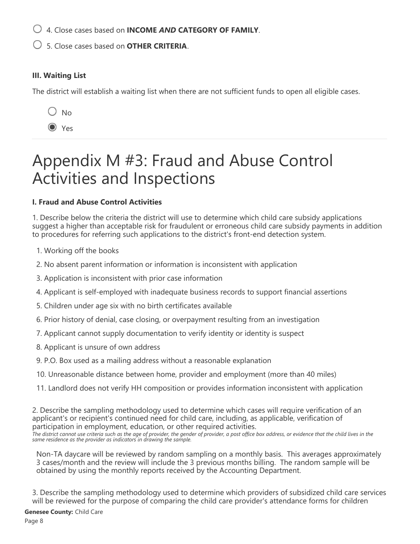4. Close cases based on **INCOME** *AND* **CATEGORY OF FAMILY**.

5. Close cases based on **OTHER CRITERIA**.

# **III. Waiting List**

The district will establish a waiting list when there are not sufficient funds to open all eligible cases.

 $\bigcirc$  No

Yes

# Appendix M #3: Fraud and Abuse Control Activities and Inspections

# **I. Fraud and Abuse Control Activities**

1. Describe below the criteria the district will use to determine which child care subsidy applications suggest a higher than acceptable risk for fraudulent or erroneous child care subsidy payments in addition to procedures for referring such applications to the district's front-end detection system.

- 1. Working off the books
- 2. No absent parent information or information is inconsistent with application
- 3. Application is inconsistent with prior case information
- 4. Applicant is self-employed with inadequate business records to support financial assertions
- 5. Children under age six with no birth certificates available
- 6. Prior history of denial, case closing, or overpayment resulting from an investigation
- 7. Applicant cannot supply documentation to verify identity or identity is suspect
- 8. Applicant is unsure of own address
- 9. P.O. Box used as a mailing address without a reasonable explanation
- 10. Unreasonable distance between home, provider and employment (more than 40 miles)
- 11. Landlord does not verify HH composition or provides information inconsistent with application

2. Describe the sampling methodology used to determine which cases will require verification of an applicant's or recipient's continued need for child care, including, as applicable, verification of participation in employment, education, or other required activities.

*The district cannot use criteria such as the age of provider, the gender of provider, a post office box address, or evidence that the child lives in the same residence as the provider as indicators in drawing the sample.*

Non-TA daycare will be reviewed by random sampling on a monthly basis. This averages approximately 3 cases/month and the review will include the 3 previous months billing. The random sample will be obtained by using the monthly reports received by the Accounting Department.

3. Describe the sampling methodology used to determine which providers of subsidized child care services will be reviewed for the purpose of comparing the child care provider's attendance forms for children

**Genesee County:** Child Care

Page 8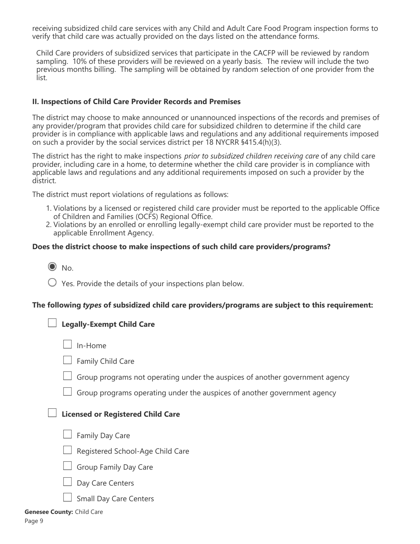receiving subsidized child care services with any Child and Adult Care Food Program inspection forms to verify that child care was actually provided on the days listed on the attendance forms.

Child Care providers of subsidized services that participate in the CACFP will be reviewed by random sampling. 10% of these providers will be reviewed on a yearly basis. The review will include the two previous months billing. The sampling will be obtained by random selection of one provider from the list.

#### **II. Inspections of Child Care Provider Records and Premises**

The district may choose to make announced or unannounced inspections of the records and premises of any provider/program that provides child care for subsidized children to determine if the child care provider is in compliance with applicable laws and regulations and any additional requirements imposed on such a provider by the social services district per 18 NYCRR §415.4(h)(3).

The district has the right to make inspections *prior to subsidized children receiving care* of any child care provider, including care in a home, to determine whether the child care provider is in compliance with applicable laws and regulations and any additional requirements imposed on such a provider by the district.

The district must report violations of regulations as follows:

- 1. Violations by a licensed or registered child care provider must be reported to the applicable Office of Children and Families (OCFS) Regional Office.
- 2. Violations by an enrolled or enrolling legally-exempt child care provider must be reported to the applicable Enrollment Agency.

#### **Does the district choose to make inspections of such child care providers/programs?**

|  | v.<br>۰. |
|--|----------|
|--|----------|

 $\bigcirc$  Yes. Provide the details of your inspections plan below.

#### **The following** *types* **of subsidized child care providers/programs are subject to this requirement:**

# **Legally-Exempt Child Care**

 $\Box$  In-Home

- Family Child Care
- $\Box$  Group programs not operating under the auspices of another government agency
- $\Box$  Group programs operating under the auspices of another government agency

#### **Licensed or Registered Child Care**

- $\Box$  Family Day Care
- $\Box$  Registered School-Age Child Care



- Day Care Centers
- Small Day Care Centers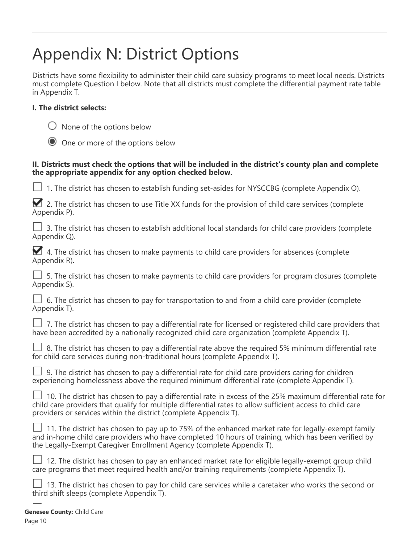# Appendix N: District Options

Districts have some flexibility to administer their child care subsidy programs to meet local needs. Districts must complete Question I below. Note that all districts must complete the differential payment rate table in Appendix T.

# **I. The district selects:**

|  |  |  | $\bigcirc$ None of the options below |  |
|--|--|--|--------------------------------------|--|
|--|--|--|--------------------------------------|--|

One or more of the options below

### **II. Districts must check the options that will be included in the district's county plan and complete the appropriate appendix for any option checked below.**

1. The district has chosen to establish funding set-asides for NYSCCBG (complete Appendix O).

|  |              |  |  |  |  | 2. The district has chosen to use Title XX funds for the provision of child care services (complete |  |
|--|--------------|--|--|--|--|-----------------------------------------------------------------------------------------------------|--|
|  | Appendix P). |  |  |  |  |                                                                                                     |  |

|              |  |  |  |  |  | $\Box$ 3. The district has chosen to establish additional local standards for child care providers (complete |
|--------------|--|--|--|--|--|--------------------------------------------------------------------------------------------------------------|
| Appendix Q). |  |  |  |  |  |                                                                                                              |

|  |              |  | 4. The district has chosen to make payments to child care providers for absences (complete |  |  |  |
|--|--------------|--|--------------------------------------------------------------------------------------------|--|--|--|
|  | Appendix R). |  |                                                                                            |  |  |  |

 5. The district has chosen to make payments to child care providers for program closures (complete Appendix S).

|  | $\Box$ 6. The district has chosen to pay for transportation to and from a child care provider (complete |  |  |  |  |  |  |
|--|---------------------------------------------------------------------------------------------------------|--|--|--|--|--|--|
|  | Appendix T).                                                                                            |  |  |  |  |  |  |

|  |  |  | $\Box$ 7. The district has chosen to pay a differential rate for licensed or registered child care providers that |  |  |  |  |
|--|--|--|-------------------------------------------------------------------------------------------------------------------|--|--|--|--|
|  |  |  | have been accredited by a nationally recognized child care organization (complete Appendix T).                    |  |  |  |  |

|  |  |  |  |  |  |  |                                                                             | $\Box$ 8. The district has chosen to pay a differential rate above the required 5% minimum differential rate |  |  |
|--|--|--|--|--|--|--|-----------------------------------------------------------------------------|--------------------------------------------------------------------------------------------------------------|--|--|
|  |  |  |  |  |  |  | for child care services during non-traditional hours (complete Appendix T). |                                                                                                              |  |  |

|  |  |  |  |  | $\Box$ 9. The district has chosen to pay a differential rate for child care providers caring for children |  |  |  |
|--|--|--|--|--|-----------------------------------------------------------------------------------------------------------|--|--|--|
|  |  |  |  |  | experiencing homelessness above the required minimum differential rate (complete Appendix T).             |  |  |  |

|  | $\Box$ 10. The district has chosen to pay a differential rate in excess of the 25% maximum differential rate for |
|--|------------------------------------------------------------------------------------------------------------------|
|  | child care providers that qualify for multiple differential rates to allow sufficient access to child care       |
|  | providers or services within the district (complete Appendix T).                                                 |

|  |  |                                                                       |  | $\Box$ 11. The district has chosen to pay up to 75% of the enhanced market rate for legally-exempt family |  |  |
|--|--|-----------------------------------------------------------------------|--|-----------------------------------------------------------------------------------------------------------|--|--|
|  |  |                                                                       |  | and in-home child care providers who have completed 10 hours of training, which has been verified by      |  |  |
|  |  | the Legally-Exempt Caregiver Enrollment Agency (complete Appendix T). |  |                                                                                                           |  |  |

| $\Box$ 12. The district has chosen to pay an enhanced market rate for eligible legally-exempt group child |  |  |  |  |  |
|-----------------------------------------------------------------------------------------------------------|--|--|--|--|--|
| care programs that meet required health and/or training requirements (complete Appendix T).               |  |  |  |  |  |

|  | $\Box$ 13. The district has chosen to pay for child care services while a caretaker who works the second or |
|--|-------------------------------------------------------------------------------------------------------------|
|  | third shift sleeps (complete Appendix T).                                                                   |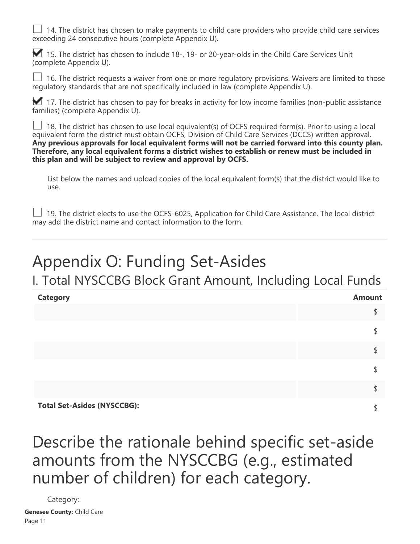$\Box$  14. The district has chosen to make payments to child care providers who provide child care services exceeding 24 consecutive hours (complete Appendix U).

15. The district has chosen to include 18-, 19- or 20-year-olds in the Child Care Services Unit (complete Appendix U).

 16. The district requests a waiver from one or more regulatory provisions. Waivers are limited to those regulatory standards that are not specifically included in law (complete Appendix U).

17. The district has chosen to pay for breaks in activity for low income families (non-public assistance families) (complete Appendix U).

 18. The district has chosen to use local equivalent(s) of OCFS required form(s). Prior to using a local equivalent form the district must obtain OCFS, Division of Child Care Services (DCCS) written approval. **Any previous approvals for local equivalent forms will not be carried forward into this county plan. Therefore, any local equivalent forms a district wishes to establish or renew must be included in this plan and will be subject to review and approval by OCFS.**

List below the names and upload copies of the local equivalent form(s) that the district would like to use.

 $\Box$  19. The district elects to use the OCFS-6025, Application for Child Care Assistance. The local district may add the district name and contact information to the form.

# Appendix O: Funding Set-Asides

I. Total NYSCCBG Block Grant Amount, Including Local Funds

| <b>Category</b>                    | <b>Amount</b> |
|------------------------------------|---------------|
|                                    |               |
|                                    |               |
|                                    |               |
|                                    |               |
|                                    |               |
| <b>Total Set-Asides (NYSCCBG):</b> |               |

Describe the rationale behind specific set-aside amounts from the NYSCCBG (e.g., estimated number of children) for each category.

Category: **Genesee County:** Child Care Page 11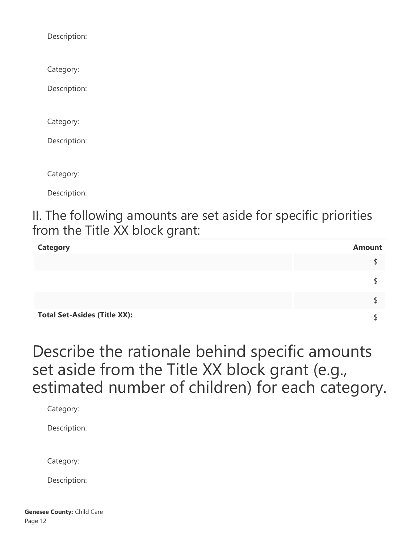Description:

Category:

Description:

Category:

Description:

Category:

Description:

II. The following amounts are set aside for specific priorities from the Title XX block grant:

| <b>Category</b>                     | <b>Amount</b> |
|-------------------------------------|---------------|
|                                     |               |
|                                     |               |
|                                     |               |
| <b>Total Set-Asides (Title XX):</b> |               |

Describe the rationale behind specific amounts set aside from the Title XX block grant (e.g., estimated number of children) for each category.

Category:

Description:

Category:

Description: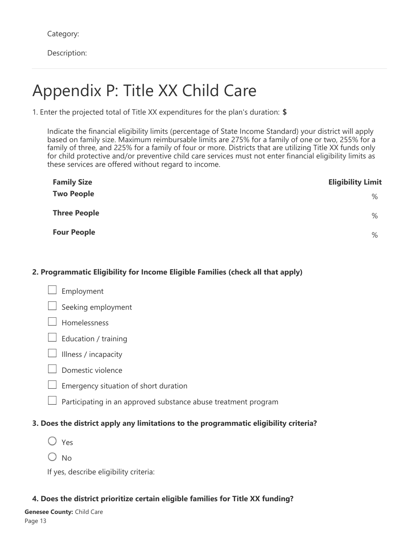Category:

Description:

# Appendix P: Title XX Child Care

1. Enter the projected total of Title XX expenditures for the plan's duration: **\$**

Indicate the financial eligibility limits (percentage of State Income Standard) your district will apply based on family size. Maximum reimbursable limits are 275% for a family of one or two, 255% for a family of three, and 225% for a family of four or more. Districts that are utilizing Title XX funds only for child protective and/or preventive child care services must not enter financial eligibility limits as these services are offered without regard to income.

| <b>Family Size</b>  | <b>Eligibility Limit</b> |
|---------------------|--------------------------|
| <b>Two People</b>   | %                        |
| <b>Three People</b> | %                        |
| <b>Four People</b>  | $\%$                     |

### **2. Programmatic Eligibility for Income Eligible Families (check all that apply)**

- Employment Seeking employment Homelessness  $\Box$  Education / training  $\Box$  Illness / incapacity  $\Box$  Domestic violence
	- Emergency situation of short duration
	- Participating in an approved substance abuse treatment program

# **3. Does the district apply any limitations to the programmatic eligibility criteria?**

- O Yes
- $\bigcirc$  No

If yes, describe eligibility criteria:

# **4. Does the district prioritize certain eligible families for Title XX funding?**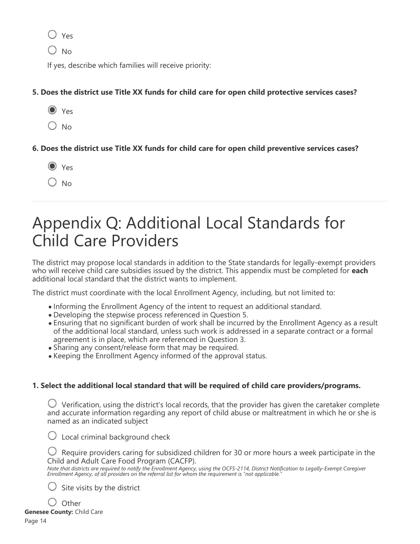∩ Yes

 $O$  No

If yes, describe which families will receive priority:

**5. Does the district use Title XX funds for child care for open child protective services cases?**

- $\odot$  Yes
- $O$  No

**6. Does the district use Title XX funds for child care for open child preventive services cases?**

- O Yes
- $\bigcirc$  No

# Appendix Q: Additional Local Standards for Child Care Providers

The district may propose local standards in addition to the State standards for legally-exempt providers who will receive child care subsidies issued by the district. This appendix must be completed for **each** additional local standard that the district wants to implement.

The district must coordinate with the local Enrollment Agency, including, but not limited to:

- Informing the Enrollment Agency of the intent to request an additional standard.
- Developing the stepwise process referenced in Question 5.
- Ensuring that no significant burden of work shall be incurred by the Enrollment Agency as a result of the additional local standard, unless such work is addressed in a separate contract or a formal agreement is in place, which are referenced in Question 3.
- Sharing any consent/release form that may be required.
- Keeping the Enrollment Agency informed of the approval status.

# **1. Select the additional local standard that will be required of child care providers/programs.**

 $\bigcirc$  Verification, using the district's local records, that the provider has given the caretaker complete and accurate information regarding any report of child abuse or maltreatment in which he or she is named as an indicated subject

 $\bigcirc$  Local criminal background check

 $\bigcup$  Require providers caring for subsidized children for 30 or more hours a week participate in the Child and Adult Care Food Program (CACFP).

*Note that districts are required to notify the Enrollment Agency, using the OCFS-2114, District Notification to Legally-Exempt Caregiver Enrollment Agency, of all providers on the referral list for whom the requirement is "not applicable."*

Site visits by the district

 $\bigcup$  Other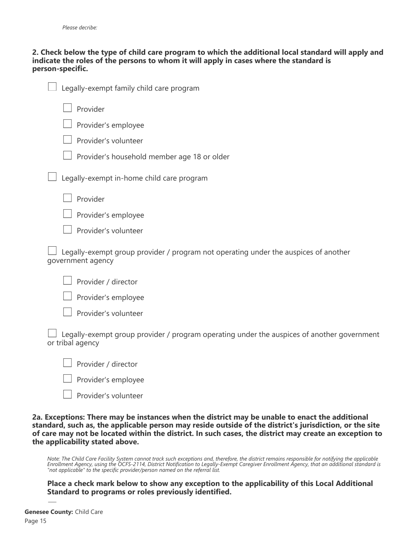#### **2. Check below the type of child care program to which the additional local standard will apply and indicate the roles of the persons to whom it will apply in cases where the standard is person-specific.**

| Legally-exempt family child care program                                                                       |
|----------------------------------------------------------------------------------------------------------------|
| Provider                                                                                                       |
| Provider's employee                                                                                            |
| Provider's volunteer                                                                                           |
| Provider's household member age 18 or older                                                                    |
| Legally-exempt in-home child care program                                                                      |
| Provider                                                                                                       |
| Provider's employee                                                                                            |
| Provider's volunteer                                                                                           |
| Legally-exempt group provider / program not operating under the auspices of another<br>government agency       |
| Provider / director                                                                                            |
| Provider's employee                                                                                            |
| Provider's volunteer                                                                                           |
| Legally-exempt group provider / program operating under the auspices of another government<br>or tribal agency |
| Provider / director                                                                                            |
| Provider's employee                                                                                            |
| Provider's volunteer                                                                                           |

**2a. Exceptions: There may be instances when the district may be unable to enact the additional standard, such as, the applicable person may reside outside of the district's jurisdiction, or the site of care may not be located within the district. In such cases, the district may create an exception to the applicability stated above.**

*Note: The Child Care Facility System cannot track such exceptions and, therefore, the district remains responsible for notifying the applicable Enrollment Agency, using the OCFS-2114, District Notification to Legally-Exempt Caregiver Enrollment Agency, that an additional standard is "not applicable" to the specific provider/person named on the referral list.*

**Place a check mark below to show any exception to the applicability of this Local Additional Standard to programs or roles previously identified.**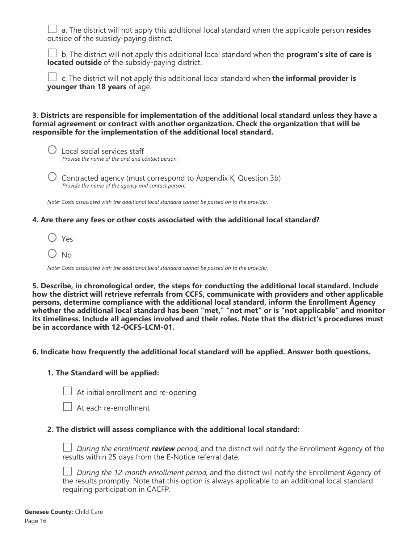a. The district will not apply this additional local standard when the applicable person **resides** outside of the subsidy-paying district.

 b. The district will not apply this additional local standard when the **program's site of care is located outside** of the subsidy-paying district.

 c. The district will not apply this additional local standard when **the informal provider is younger than 18 years** of age.

**3. Districts are responsible for implementation of the additional local standard unless they have a formal agreement or contract with another organization. Check the organization that will be responsible for the implementation of the additional local standard.**



 $\bigcup$  Local social services staff *Provide the name of the unit and contact person:*

 $\bigcirc$  Contracted agency (must correspond to Appendix K, Question 3b) *Provide the name of the agency and contact person:*

*Note: Costs associated with the additional local standard cannot be passed on to the provider.*

#### **4. Are there any fees or other costs associated with the additional local standard?**

 $\bigcirc$  Yes

 $\bigcirc$  No.

*Note: Costs associated with the additional local standard cannot be passed on to the provider.*

**5. Describe, in chronological order, the steps for conducting the additional local standard. Include how the district will retrieve referrals from CCFS, communicate with providers and other applicable persons, determine compliance with the additional local standard, inform the Enrollment Agency whether the additional local standard has been "met," "not met" or is "not applicable" and monitor its timeliness. Include all agencies involved and their roles. Note that the district's procedures must be in accordance with 12-OCFS-LCM-01.**

#### **6. Indicate how frequently the additional local standard will be applied. Answer both questions.**

#### **1. The Standard will be applied:**



 $\Box$  At initial enrollment and re-opening

At each re-enrollment

#### **2. The district will assess compliance with the additional local standard:**

*During the enrollment review period,* and the district will notify the Enrollment Agency of the results within 25 days from the E-Notice referral date.

*During the 12-month enrollment period,* and the district will notify the Enrollment Agency of the results promptly. Note that this option is always applicable to an additional local standard requiring participation in CACFP.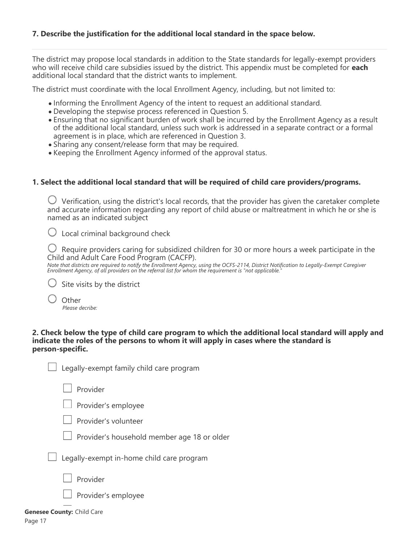The district may propose local standards in addition to the State standards for legally-exempt providers who will receive child care subsidies issued by the district. This appendix must be completed for **each** additional local standard that the district wants to implement.

The district must coordinate with the local Enrollment Agency, including, but not limited to:

- Informing the Enrollment Agency of the intent to request an additional standard.
- Developing the stepwise process referenced in Question 5.
- Ensuring that no significant burden of work shall be incurred by the Enrollment Agency as a result of the additional local standard, unless such work is addressed in a separate contract or a formal agreement is in place, which are referenced in Question 3.
- Sharing any consent/release form that may be required.
- Keeping the Enrollment Agency informed of the approval status.

#### **1. Select the additional local standard that will be required of child care providers/programs.**

 $\bigcirc$  Verification, using the district's local records, that the provider has given the caretaker complete and accurate information regarding any report of child abuse or maltreatment in which he or she is named as an indicated subject

 $\bigcup$  Local criminal background check

 $\bigcirc$  Require providers caring for subsidized children for 30 or more hours a week participate in the Child and Adult Care Food Program (CACFP).

*Note that districts are required to notify the Enrollment Agency, using the OCFS-2114, District Notification to Legally-Exempt Caregiver Enrollment Agency, of all providers on the referral list for whom the requirement is "not applicable."*

 $\bigcirc$  Site visits by the district

**Other** *Please decribe:*

#### **2. Check below the type of child care program to which the additional local standard will apply and indicate the roles of the persons to whom it will apply in cases where the standard is person-specific.**

|  | Legally-exer |  |  |
|--|--------------|--|--|
|  |              |  |  |

npt family child care program

 $\Box$  Provider

 $\Box$  Provider's employee



Provider's household member age 18 or older

Legally-exempt in-home child care program

Provider

Provider's employee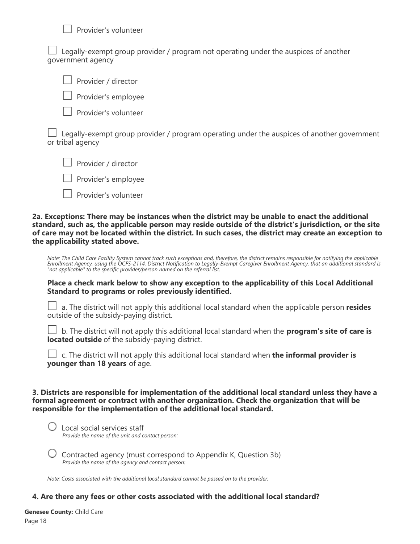Provider's volunteer

 Legally-exempt group provider / program not operating under the auspices of another government agency

Provider / director

Provider's employee

Provider's volunteer

 Legally-exempt group provider / program operating under the auspices of another government or tribal agency

Provider / director

Provider's employee

Provider's volunteer

**2a. Exceptions: There may be instances when the district may be unable to enact the additional standard, such as, the applicable person may reside outside of the district's jurisdiction, or the site of care may not be located within the district. In such cases, the district may create an exception to the applicability stated above.**

*Note: The Child Care Facility System cannot track such exceptions and, therefore, the district remains responsible for notifying the applicable Enrollment Agency, using the OCFS-2114, District Notification to Legally-Exempt Caregiver Enrollment Agency, that an additional standard is "not applicable" to the specific provider/person named on the referral list.*

**Place a check mark below to show any exception to the applicability of this Local Additional Standard to programs or roles previously identified.**

 a. The district will not apply this additional local standard when the applicable person **resides** outside of the subsidy-paying district.

 b. The district will not apply this additional local standard when the **program's site of care is located outside** of the subsidy-paying district.

 c. The district will not apply this additional local standard when **the informal provider is younger than 18 years** of age.

**3. Districts are responsible for implementation of the additional local standard unless they have a formal agreement or contract with another organization. Check the organization that will be responsible for the implementation of the additional local standard.**

 $\bigcirc$  Local social services staff *Provide the name of the unit and contact person:*

 $\bigcirc$  Contracted agency (must correspond to Appendix K, Question 3b) *Provide the name of the agency and contact person:*

*Note: Costs associated with the additional local standard cannot be passed on to the provider.*

#### **4. Are there any fees or other costs associated with the additional local standard?**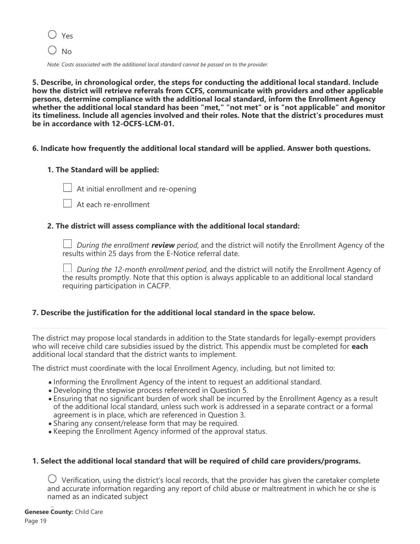$\bigcirc$  Yes

 $\bigcirc$  No

*Note: Costs associated with the additional local standard cannot be passed on to the provider.*

**5. Describe, in chronological order, the steps for conducting the additional local standard. Include how the district will retrieve referrals from CCFS, communicate with providers and other applicable persons, determine compliance with the additional local standard, inform the Enrollment Agency whether the additional local standard has been "met," "not met" or is "not applicable" and monitor its timeliness. Include all agencies involved and their roles. Note that the district's procedures must be in accordance with 12-OCFS-LCM-01.**

#### **6. Indicate how frequently the additional local standard will be applied. Answer both questions.**

#### **1. The Standard will be applied:**



 $\Box$  At initial enrollment and re-opening

At each re-enrollment

#### **2. The district will assess compliance with the additional local standard:**

*During the enrollment review period,* and the district will notify the Enrollment Agency of the results within 25 days from the E-Notice referral date.

*During the 12-month enrollment period,* and the district will notify the Enrollment Agency of the results promptly. Note that this option is always applicable to an additional local standard requiring participation in CACFP.

#### **7. Describe the justification for the additional local standard in the space below.**

The district may propose local standards in addition to the State standards for legally-exempt providers who will receive child care subsidies issued by the district. This appendix must be completed for **each** additional local standard that the district wants to implement.

The district must coordinate with the local Enrollment Agency, including, but not limited to:

- Informing the Enrollment Agency of the intent to request an additional standard.
- Developing the stepwise process referenced in Question 5.
- Ensuring that no significant burden of work shall be incurred by the Enrollment Agency as a result of the additional local standard, unless such work is addressed in a separate contract or a formal agreement is in place, which are referenced in Question 3.
- Sharing any consent/release form that may be required.
- Keeping the Enrollment Agency informed of the approval status.

#### **1. Select the additional local standard that will be required of child care providers/programs.**

 $\bigcirc$  Verification, using the district's local records, that the provider has given the caretaker complete and accurate information regarding any report of child abuse or maltreatment in which he or she is named as an indicated subject

**Genesee County:** Child Care

Page 19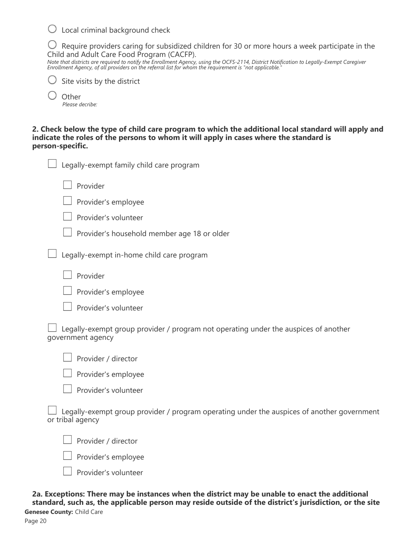$\bigcirc$  Local criminal background check

 $\bigcirc$  Require providers caring for subsidized children for 30 or more hours a week participate in the Child and Adult Care Food Program (CACFP).

*Note that districts are required to notify the Enrollment Agency, using the OCFS-2114, District Notification to Legally-Exempt Caregiver Enrollment Agency, of all providers on the referral list for whom the requirement is "not applicable."*

|  |  | $\bigcirc$ Site visits by the district |
|--|--|----------------------------------------|
|  |  |                                        |

 $\bigcup$  Other *Please decribe:*

**2. Check below the type of child care program to which the additional local standard will apply and indicate the roles of the persons to whom it will apply in cases where the standard is person-specific.**

| Legally-exempt family child care program                                                                 |
|----------------------------------------------------------------------------------------------------------|
| Provider                                                                                                 |
| Provider's employee                                                                                      |
| Provider's volunteer                                                                                     |
| Provider's household member age 18 or older                                                              |
| Legally-exempt in-home child care program                                                                |
| Provider                                                                                                 |
| Provider's employee                                                                                      |
| Provider's volunteer                                                                                     |
| Legally-exempt group provider / program not operating under the auspices of another<br>government agency |
| Provider / director                                                                                      |
|                                                                                                          |

 $\Box$  Provider's employee

Provider's volunteer

|  |                  |  |  |  | $\Box$ Legally-exempt group provider / program operating under the auspices of another government |  |  |  |
|--|------------------|--|--|--|---------------------------------------------------------------------------------------------------|--|--|--|
|  | or tribal agency |  |  |  |                                                                                                   |  |  |  |

Provider / director

 $\Box$  Provider's employee



**2a. Exceptions: There may be instances when the district may be unable to enact the additional standard, such as, the applicable person may reside outside of the district's jurisdiction, or the site**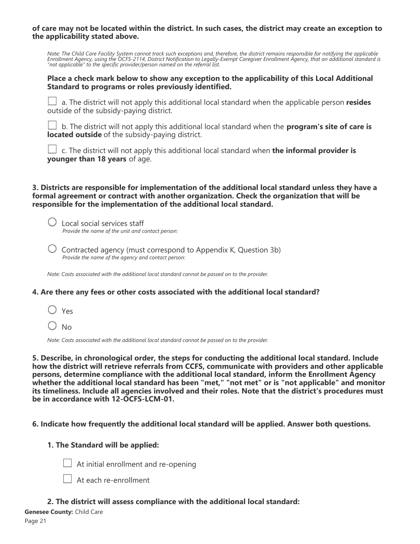**of care may not be located within the district. In such cases, the district may create an exception to the applicability stated above.**

*Note: The Child Care Facility System cannot track such exceptions and, therefore, the district remains responsible for notifying the applicable Enrollment Agency, using the OCFS-2114, District Notification to Legally-Exempt Caregiver Enrollment Agency, that an additional standard is "not applicable" to the specific provider/person named on the referral list.*

#### **Place a check mark below to show any exception to the applicability of this Local Additional Standard to programs or roles previously identified.**

 $\Box$  a. The district will not apply this additional local standard when the applicable person **resides** outside of the subsidy-paying district.

 b. The district will not apply this additional local standard when the **program's site of care is located outside** of the subsidy-paying district.

 c. The district will not apply this additional local standard when **the informal provider is younger than 18 years** of age.

#### **3. Districts are responsible for implementation of the additional local standard unless they have a formal agreement or contract with another organization. Check the organization that will be responsible for the implementation of the additional local standard.**

 Local social services staff *Provide the name of the unit and contact person:*

 $\bigcirc$  Contracted agency (must correspond to Appendix K, Question 3b) *Provide the name of the agency and contact person:*

*Note: Costs associated with the additional local standard cannot be passed on to the provider.*

#### **4. Are there any fees or other costs associated with the additional local standard?**

Yes

 $\bigcirc$  No

*Note: Costs associated with the additional local standard cannot be passed on to the provider.*

**5. Describe, in chronological order, the steps for conducting the additional local standard. Include how the district will retrieve referrals from CCFS, communicate with providers and other applicable persons, determine compliance with the additional local standard, inform the Enrollment Agency whether the additional local standard has been "met," "not met" or is "not applicable" and monitor its timeliness. Include all agencies involved and their roles. Note that the district's procedures must be in accordance with 12-OCFS-LCM-01.**

#### **6. Indicate how frequently the additional local standard will be applied. Answer both questions.**

#### **1. The Standard will be applied:**



At initial enrollment and re-opening

At each re-enrollment

#### **2. The district will assess compliance with the additional local standard:**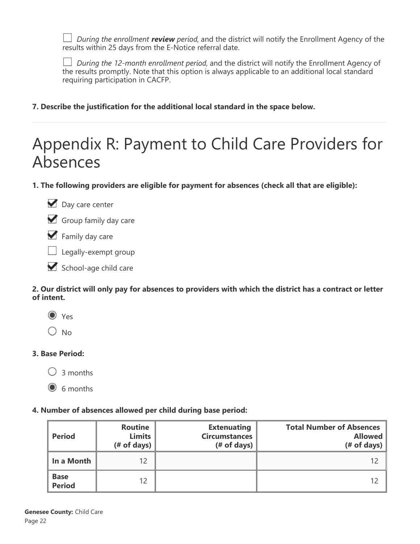*During the enrollment review period,* and the district will notify the Enrollment Agency of the results within 25 days from the E-Notice referral date.

*During the 12-month enrollment period,* and the district will notify the Enrollment Agency of the results promptly. Note that this option is always applicable to an additional local standard requiring participation in CACFP.

**7. Describe the justification for the additional local standard in the space below.**

# Appendix R: Payment to Child Care Providers for Absences

**1. The following providers are eligible for payment for absences (check all that are eligible):**



Group family day care

Family day care

 $\Box$  Legally-exempt group

School-age child care

**2. Our district will only pay for absences to providers with which the district has a contract or letter of intent.**

O Yes

 $\bigcirc$  No

# **3. Base Period:**

 $\bigcap$  3 months

 $\odot$  6 months

# **4. Number of absences allowed per child during base period:**

| <b>Period</b>                | <b>Routine</b><br><b>Limits</b><br>$#$ of days) | <b>Extenuating</b><br><b>Circumstances</b><br>$#$ of days) | <b>Total Number of Absences</b><br><b>Allowed</b><br>$#$ of days) |
|------------------------------|-------------------------------------------------|------------------------------------------------------------|-------------------------------------------------------------------|
| In a Month                   | 12                                              |                                                            | 12                                                                |
| <b>Base</b><br><b>Period</b> | 12                                              |                                                            | 12                                                                |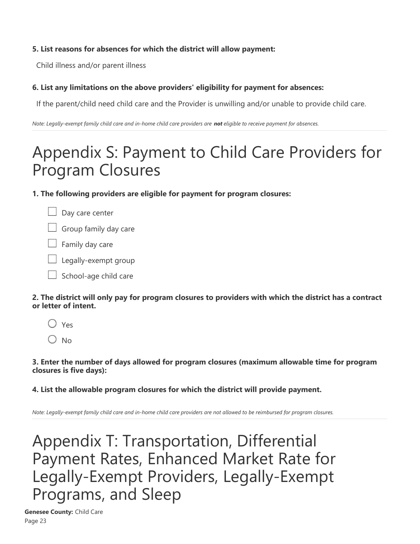### **5. List reasons for absences for which the district will allow payment:**

Child illness and/or parent illness

# **6. List any limitations on the above providers' eligibility for payment for absences:**

If the parent/child need child care and the Provider is unwilling and/or unable to provide child care.

*Note: Legally-exempt family child care and in-home child care providers are not eligible to receive payment for absences.*

# Appendix S: Payment to Child Care Providers for Program Closures

**1. The following providers are eligible for payment for program closures:**



 $\Box$  Group family day care

 $\Box$  Family day care

 $\Box$  Legally-exempt group

School-age child care

**2. The district will only pay for program closures to providers with which the district has a contract or letter of intent.**

 $\bigcirc$  Yes

 $\bigcirc$  No

**3. Enter the number of days allowed for program closures (maximum allowable time for program closures is five days):**

**4. List the allowable program closures for which the district will provide payment.**

*Note: Legally-exempt family child care and in-home child care providers are not allowed to be reimbursed for program closures.*

Appendix T: Transportation, Differential Payment Rates, Enhanced Market Rate for Legally-Exempt Providers, Legally-Exempt Programs, and Sleep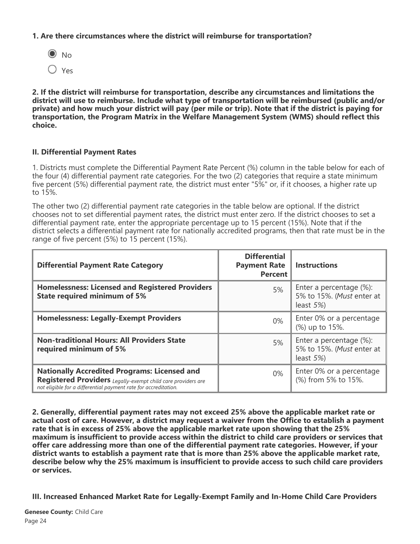#### **1. Are there circumstances where the district will reimburse for transportation?**



**2. If the district will reimburse for transportation, describe any circumstances and limitations the district will use to reimburse. Include what type of transportation will be reimbursed (public and/or private) and how much your district will pay (per mile or trip). Note that if the district is paying for transportation, the Program Matrix in the Welfare Management System (WMS) should reflect this choice.**

#### **II. Differential Payment Rates**

1. Districts must complete the Differential Payment Rate Percent (%) column in the table below for each of the four (4) differential payment rate categories. For the two (2) categories that require a state minimum five percent (5%) differential payment rate, the district must enter "5%" or, if it chooses, a higher rate up to 15%.

The other two (2) differential payment rate categories in the table below are optional. If the district chooses not to set differential payment rates, the district must enter zero. If the district chooses to set a differential payment rate, enter the appropriate percentage up to 15 percent (15%). Note that if the district selects a differential payment rate for nationally accredited programs, then that rate must be in the range of five percent (5%) to 15 percent (15%).

| <b>Differential Payment Rate Category</b>                                                                                                                                              | <b>Differential</b><br><b>Payment Rate</b><br><b>Percent</b> | <b>Instructions</b>                                                   |
|----------------------------------------------------------------------------------------------------------------------------------------------------------------------------------------|--------------------------------------------------------------|-----------------------------------------------------------------------|
| <b>Homelessness: Licensed and Registered Providers</b><br><b>State required minimum of 5%</b>                                                                                          | 5%                                                           | Enter a percentage (%):<br>5% to 15%. (Must enter at<br>least $5\%$ ) |
| <b>Homelessness: Legally-Exempt Providers</b>                                                                                                                                          | $0\%$                                                        | Enter 0% or a percentage<br>(%) up to 15%.                            |
| <b>Non-traditional Hours: All Providers State</b><br>required minimum of 5%                                                                                                            | 5%                                                           | Enter a percentage (%):<br>5% to 15%. (Must enter at<br>least $5\%$   |
| <b>Nationally Accredited Programs: Licensed and</b><br>Registered Providers Legally-exempt child care providers are<br>not eligible for a differential payment rate for accreditation. | $0\%$                                                        | Enter 0% or a percentage<br>(%) from 5% to 15%.                       |

**2. Generally, differential payment rates may not exceed 25% above the applicable market rate or actual cost of care. However, a district may request a waiver from the Office to establish a payment rate that is in excess of 25% above the applicable market rate upon showing that the 25% maximum is insufficient to provide access within the district to child care providers or services that offer care addressing more than one of the differential payment rate categories. However, if your district wants to establish a payment rate that is more than 25% above the applicable market rate, describe below why the 25% maximum is insufficient to provide access to such child care providers or services.**

**III. Increased Enhanced Market Rate for Legally-Exempt Family and In-Home Child Care Providers**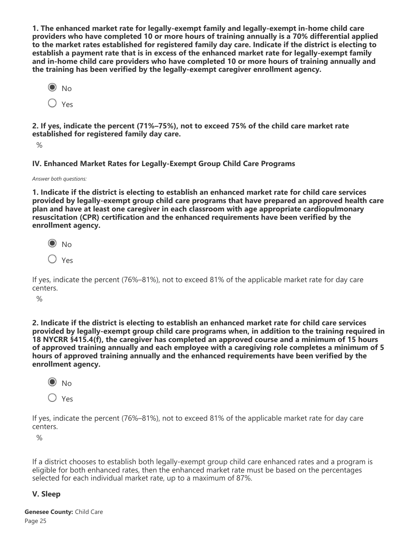**1. The enhanced market rate for legally-exempt family and legally-exempt in-home child care providers who have completed 10 or more hours of training annually is a 70% differential applied to the market rates established for registered family day care. Indicate if the district is electing to establish a payment rate that is in excess of the enhanced market rate for legally-exempt family and in-home child care providers who have completed 10 or more hours of training annually and the training has been verified by the legally-exempt caregiver enrollment agency.**

 $\odot$  No  $\bigcirc$  Yes

**2. If yes, indicate the percent (71%–75%), not to exceed 75% of the child care market rate established for registered family day care.**

 $\%$ 

**IV. Enhanced Market Rates for Legally-Exempt Group Child Care Programs**

*Answer both questions:*

**1. Indicate if the district is electing to establish an enhanced market rate for child care services provided by legally-exempt group child care programs that have prepared an approved health care plan and have at least one caregiver in each classroom with age appropriate cardiopulmonary resuscitation (CPR) certification and the enhanced requirements have been verified by the enrollment agency.**

 $\odot$  No

Yes

If yes, indicate the percent (76%–81%), not to exceed 81% of the applicable market rate for day care centers.

%

**2. Indicate if the district is electing to establish an enhanced market rate for child care services provided by legally-exempt group child care programs when, in addition to the training required in 18 NYCRR §415.4(f), the caregiver has completed an approved course and a minimum of 15 hours of approved training annually and each employee with a caregiving role completes a minimum of 5 hours of approved training annually and the enhanced requirements have been verified by the enrollment agency.**

 $\odot$  No

O Yes

If yes, indicate the percent (76%–81%), not to exceed 81% of the applicable market rate for day care centers.

 $\%$ 

If a district chooses to establish both legally-exempt group child care enhanced rates and a program is eligible for both enhanced rates, then the enhanced market rate must be based on the percentages selected for each individual market rate, up to a maximum of 87%.

# **V. Sleep**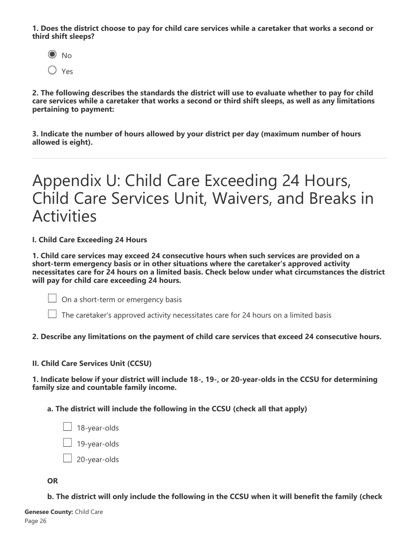**1. Does the district choose to pay for child care services while a caretaker that works a second or third shift sleeps?**



**2. The following describes the standards the district will use to evaluate whether to pay for child care services while a caretaker that works a second or third shift sleeps, as well as any limitations pertaining to payment:**

**3. Indicate the number of hours allowed by your district per day (maximum number of hours allowed is eight).**

# Appendix U: Child Care Exceeding 24 Hours, Child Care Services Unit, Waivers, and Breaks in Activities

**I. Child Care Exceeding 24 Hours**

**1. Child care services may exceed 24 consecutive hours when such services are provided on a short-term emergency basis or in other situations where the caretaker's approved activity necessitates care for 24 hours on a limited basis. Check below under what circumstances the district will pay for child care exceeding 24 hours.**

 $\Box$  On a short-term or emergency basis

 $\Box$  The caretaker's approved activity necessitates care for 24 hours on a limited basis

#### **2. Describe any limitations on the payment of child care services that exceed 24 consecutive hours.**

#### **II. Child Care Services Unit (CCSU)**

**1. Indicate below if your district will include 18-, 19-, or 20-year-olds in the CCSU for determining family size and countable family income.**

**a. The district will include the following in the CCSU (check all that apply)**

 $\Box$  18-year-olds  $\Box$  19-year-olds  $\Box$  20-year-olds

#### **OR**

**b. The district will only include the following in the CCSU when it will benefit the family (check**